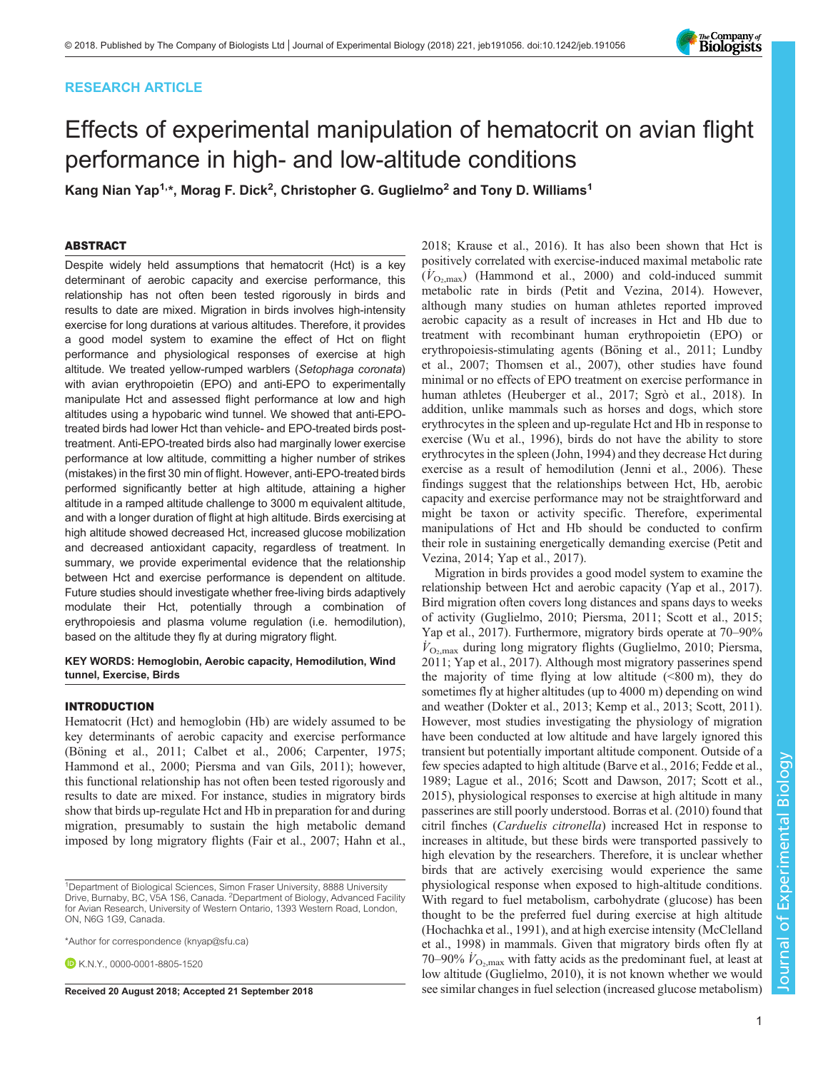# RESEARCH ARTICLE



# Effects of experimental manipulation of hematocrit on avian flight performance in high- and low-altitude conditions

Kang Nian Yap<sup>1,</sup>\*, Morag F. Dick<sup>2</sup>, Christopher G. Guglielmo<sup>2</sup> and Tony D. Williams<sup>1</sup>

## ABSTRACT

Despite widely held assumptions that hematocrit (Hct) is a key determinant of aerobic capacity and exercise performance, this relationship has not often been tested rigorously in birds and results to date are mixed. Migration in birds involves high-intensity exercise for long durations at various altitudes. Therefore, it provides a good model system to examine the effect of Hct on flight performance and physiological responses of exercise at high altitude. We treated yellow-rumped warblers (Setophaga coronata) with avian erythropoietin (EPO) and anti-EPO to experimentally manipulate Hct and assessed flight performance at low and high altitudes using a hypobaric wind tunnel. We showed that anti-EPOtreated birds had lower Hct than vehicle- and EPO-treated birds posttreatment. Anti-EPO-treated birds also had marginally lower exercise performance at low altitude, committing a higher number of strikes (mistakes) in the first 30 min of flight. However, anti-EPO-treated birds performed significantly better at high altitude, attaining a higher altitude in a ramped altitude challenge to 3000 m equivalent altitude, and with a longer duration of flight at high altitude. Birds exercising at high altitude showed decreased Hct, increased glucose mobilization and decreased antioxidant capacity, regardless of treatment. In summary, we provide experimental evidence that the relationship between Hct and exercise performance is dependent on altitude. Future studies should investigate whether free-living birds adaptively modulate their Hct, potentially through a combination of erythropoiesis and plasma volume regulation (i.e. hemodilution), based on the altitude they fly at during migratory flight.

## KEY WORDS: Hemoglobin, Aerobic capacity, Hemodilution, Wind tunnel, Exercise, Birds

## INTRODUCTION

Hematocrit (Hct) and hemoglobin (Hb) are widely assumed to be key determinants of aerobic capacity and exercise performance [\(Böning et al., 2011; Calbet et al., 2006; Carpenter, 1975](#page-8-0); [Hammond et al., 2000;](#page-8-0) [Piersma and van Gils, 2011\)](#page-9-0); however, this functional relationship has not often been tested rigorously and results to date are mixed. For instance, studies in migratory birds show that birds up-regulate Hct and Hb in preparation for and during migration, presumably to sustain the high metabolic demand imposed by long migratory flights ([Fair et al., 2007; Hahn et al.,](#page-8-0)

\*Author for correspondence [\(knyap@sfu.ca\)](mailto:knyap@sfu.ca)

**E**KNY [0000-0001-8805-1520](http://orcid.org/0000-0001-8805-1520)

[2018;](#page-8-0) [Krause et al., 2016\)](#page-9-0). It has also been shown that Hct is positively correlated with exercise-induced maximal metabolic rate  $(V_{\text{O}_2,\text{max}})$  ([Hammond et al., 2000\)](#page-8-0) and cold-induced summit metabolic rate in birds ([Petit and Vezina, 2014\)](#page-9-0). However, although many studies on human athletes reported improved aerobic capacity as a result of increases in Hct and Hb due to treatment with recombinant human erythropoietin (EPO) or erythropoiesis-stimulating agents [\(Böning et al., 2011;](#page-8-0) [Lundby](#page-9-0) [et al., 2007](#page-9-0); [Thomsen et al., 2007\)](#page-9-0), other studies have found minimal or no effects of EPO treatment on exercise performance in human athletes ([Heuberger et al., 2017;](#page-8-0) [Sgrò et al., 2018](#page-9-0)). In addition, unlike mammals such as horses and dogs, which store erythrocytes in the spleen and up-regulate Hct and Hb in response to exercise ([Wu et al., 1996\)](#page-9-0), birds do not have the ability to store erythrocytes in the spleen [\(John, 1994](#page-9-0)) and they decrease Hct during exercise as a result of hemodilution ([Jenni et al., 2006\)](#page-9-0). These findings suggest that the relationships between Hct, Hb, aerobic capacity and exercise performance may not be straightforward and might be taxon or activity specific. Therefore, experimental manipulations of Hct and Hb should be conducted to confirm their role in sustaining energetically demanding exercise ([Petit and](#page-9-0) [Vezina, 2014; Yap et al., 2017\)](#page-9-0).

Migration in birds provides a good model system to examine the relationship between Hct and aerobic capacity ([Yap et al., 2017\)](#page-9-0). Bird migration often covers long distances and spans days to weeks of activity ([Guglielmo, 2010](#page-8-0); [Piersma, 2011](#page-9-0); [Scott et al., 2015](#page-9-0); [Yap et al., 2017\)](#page-9-0). Furthermore, migratory birds operate at 70–90%  $\dot{V}_{\text{O}_2,\text{max}}$  during long migratory flights ([Guglielmo, 2010;](#page-8-0) [Piersma,](#page-9-0) [2011; Yap et al., 2017\)](#page-9-0). Although most migratory passerines spend the majority of time flying at low altitude  $(\leq 800 \text{ m})$ , they do sometimes fly at higher altitudes (up to 4000 m) depending on wind and weather ([Dokter et al., 2013](#page-8-0); [Kemp et al., 2013; Scott, 2011\)](#page-9-0). However, most studies investigating the physiology of migration have been conducted at low altitude and have largely ignored this transient but potentially important altitude component. Outside of a few species adapted to high altitude [\(Barve et al., 2016; Fedde et al.,](#page-8-0) [1989;](#page-8-0) [Lague et al., 2016; Scott and Dawson, 2017; Scott et al.,](#page-9-0) [2015\)](#page-9-0), physiological responses to exercise at high altitude in many passerines are still poorly understood. [Borras et al. \(2010\)](#page-8-0) found that citril finches (Carduelis citronella) increased Hct in response to increases in altitude, but these birds were transported passively to high elevation by the researchers. Therefore, it is unclear whether birds that are actively exercising would experience the same physiological response when exposed to high-altitude conditions. With regard to fuel metabolism, carbohydrate (glucose) has been thought to be the preferred fuel during exercise at high altitude [\(Hochachka et al., 1991](#page-8-0)), and at high exercise intensity [\(McClelland](#page-9-0) [et al., 1998\)](#page-9-0) in mammals. Given that migratory birds often fly at 70–90%  $\dot{V}_{\text{O}_2,\text{max}}$  with fatty acids as the predominant fuel, at least at low altitude [\(Guglielmo, 2010\)](#page-8-0), it is not known whether we would Received 20 August 2018; Accepted 21 September 2018 see similar changes in fuel selection (increased glucose metabolism)

<sup>&</sup>lt;sup>1</sup>Department of Biological Sciences, Simon Fraser University, 8888 University Drive, Burnaby, BC, V5A 1S6, Canada. <sup>2</sup>Department of Biology, Advanced Facility for Avian Research, University of Western Ontario, 1393 Western Road, London, ON, N6G 1G9, Canada.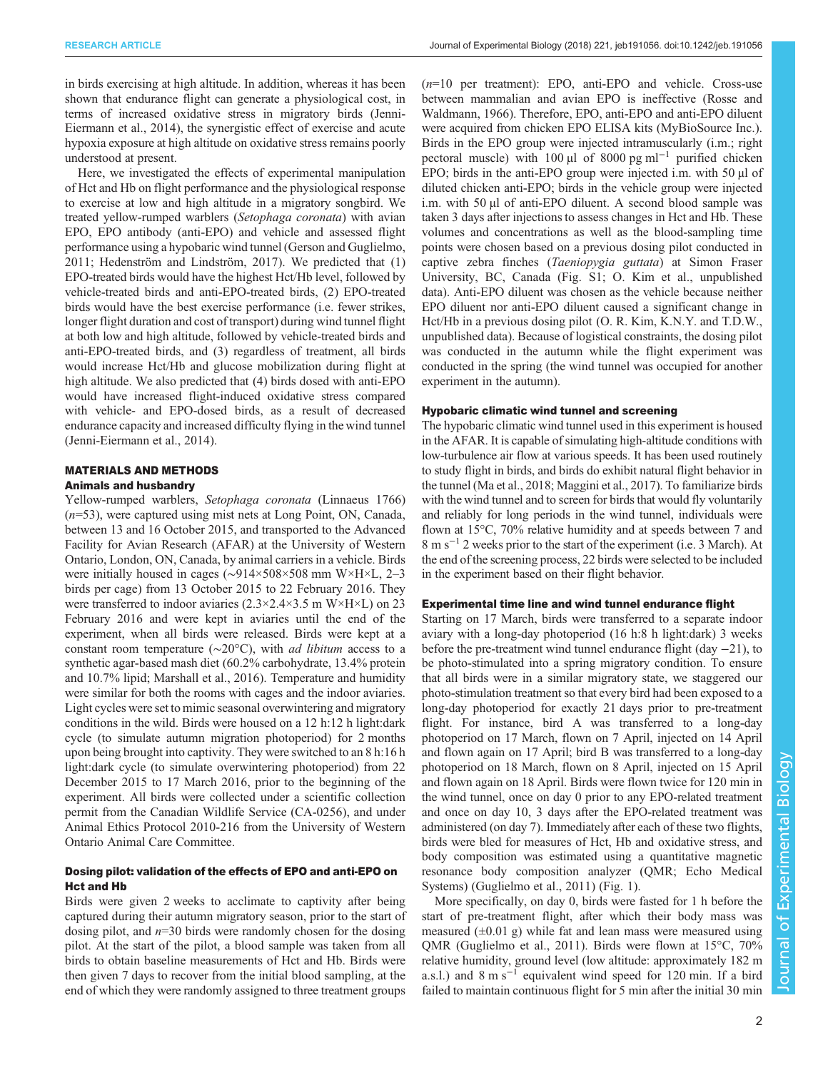in birds exercising at high altitude. In addition, whereas it has been shown that endurance flight can generate a physiological cost, in terms of increased oxidative stress in migratory birds [\(Jenni-](#page-9-0)[Eiermann et al., 2014](#page-9-0)), the synergistic effect of exercise and acute hypoxia exposure at high altitude on oxidative stress remains poorly understood at present.

Here, we investigated the effects of experimental manipulation of Hct and Hb on flight performance and the physiological response to exercise at low and high altitude in a migratory songbird. We treated yellow-rumped warblers (Setophaga coronata) with avian EPO, EPO antibody (anti-EPO) and vehicle and assessed flight performance using a hypobaric wind tunnel [\(Gerson and Guglielmo,](#page-8-0) [2011](#page-8-0); [Hedenström and Lindström, 2017\)](#page-8-0). We predicted that (1) EPO-treated birds would have the highest Hct/Hb level, followed by vehicle-treated birds and anti-EPO-treated birds, (2) EPO-treated birds would have the best exercise performance (i.e. fewer strikes, longer flight duration and cost of transport) during wind tunnel flight at both low and high altitude, followed by vehicle-treated birds and anti-EPO-treated birds, and (3) regardless of treatment, all birds would increase Hct/Hb and glucose mobilization during flight at high altitude. We also predicted that (4) birds dosed with anti-EPO would have increased flight-induced oxidative stress compared with vehicle- and EPO-dosed birds, as a result of decreased endurance capacity and increased difficulty flying in the wind tunnel [\(Jenni-Eiermann et al., 2014](#page-9-0)).

## MATERIALS AND METHODS

## Animals and husbandry

Yellow-rumped warblers, Setophaga coronata (Linnaeus 1766)  $(n=53)$ , were captured using mist nets at Long Point, ON, Canada, between 13 and 16 October 2015, and transported to the Advanced Facility for Avian Research (AFAR) at the University of Western Ontario, London, ON, Canada, by animal carriers in a vehicle. Birds were initially housed in cages (∼914×508×508 mm W×H×L, 2–3 birds per cage) from 13 October 2015 to 22 February 2016. They were transferred to indoor aviaries (2.3×2.4×3.5 m W×H×L) on 23 February 2016 and were kept in aviaries until the end of the experiment, when all birds were released. Birds were kept at a constant room temperature (∼20°C), with ad libitum access to a synthetic agar-based mash diet (60.2% carbohydrate, 13.4% protein and 10.7% lipid; [Marshall et al., 2016](#page-9-0)). Temperature and humidity were similar for both the rooms with cages and the indoor aviaries. Light cycles were set to mimic seasonal overwintering and migratory conditions in the wild. Birds were housed on a 12 h:12 h light:dark cycle (to simulate autumn migration photoperiod) for 2 months upon being brought into captivity. They were switched to an 8 h:16 h light:dark cycle (to simulate overwintering photoperiod) from 22 December 2015 to 17 March 2016, prior to the beginning of the experiment. All birds were collected under a scientific collection permit from the Canadian Wildlife Service (CA-0256), and under Animal Ethics Protocol 2010-216 from the University of Western Ontario Animal Care Committee.

# Dosing pilot: validation of the effects of EPO and anti-EPO on Hct and Hb

Birds were given 2 weeks to acclimate to captivity after being captured during their autumn migratory season, prior to the start of dosing pilot, and  $n=30$  birds were randomly chosen for the dosing pilot. At the start of the pilot, a blood sample was taken from all birds to obtain baseline measurements of Hct and Hb. Birds were then given 7 days to recover from the initial blood sampling, at the end of which they were randomly assigned to three treatment groups

 $(n=10)$  per treatment): EPO, anti-EPO and vehicle. Cross-use between mammalian and avian EPO is ineffective ([Rosse and](#page-9-0) [Waldmann, 1966\)](#page-9-0). Therefore, EPO, anti-EPO and anti-EPO diluent were acquired from chicken EPO ELISA kits (MyBioSource Inc.). Birds in the EPO group were injected intramuscularly (i.m.; right pectoral muscle) with 100 µl of 8000 pg ml<sup>-1</sup> purified chicken EPO; birds in the anti-EPO group were injected i.m. with 50 µl of diluted chicken anti-EPO; birds in the vehicle group were injected i.m. with 50 µl of anti-EPO diluent. A second blood sample was taken 3 days after injections to assess changes in Hct and Hb. These volumes and concentrations as well as the blood-sampling time points were chosen based on a previous dosing pilot conducted in captive zebra finches (Taeniopygia guttata) at Simon Fraser University, BC, Canada [\(Fig. S1](http://jeb.biologists.org/lookup/doi/10.1242/jeb.191056.supplemental); O. Kim et al., unpublished data). Anti-EPO diluent was chosen as the vehicle because neither EPO diluent nor anti-EPO diluent caused a significant change in Hct/Hb in a previous dosing pilot (O. R. Kim, K.N.Y. and T.D.W., unpublished data). Because of logistical constraints, the dosing pilot was conducted in the autumn while the flight experiment was conducted in the spring (the wind tunnel was occupied for another experiment in the autumn).

#### Hypobaric climatic wind tunnel and screening

The hypobaric climatic wind tunnel used in this experiment is housed in the AFAR. It is capable of simulating high-altitude conditions with low-turbulence air flow at various speeds. It has been used routinely to study flight in birds, and birds do exhibit natural flight behavior in the tunnel [\(Ma et al., 2018](#page-9-0); [Maggini et al., 2017](#page-9-0)). To familiarize birds with the wind tunnel and to screen for birds that would fly voluntarily and reliably for long periods in the wind tunnel, individuals were flown at 15°C, 70% relative humidity and at speeds between 7 and 8ms−<sup>1</sup> 2 weeks prior to the start of the experiment (i.e. 3 March). At the end of the screening process, 22 birds were selected to be included in the experiment based on their flight behavior.

## Experimental time line and wind tunnel endurance flight

Starting on 17 March, birds were transferred to a separate indoor aviary with a long-day photoperiod (16 h:8 h light:dark) 3 weeks before the pre-treatment wind tunnel endurance flight (day −21), to be photo-stimulated into a spring migratory condition. To ensure that all birds were in a similar migratory state, we staggered our photo-stimulation treatment so that every bird had been exposed to a long-day photoperiod for exactly 21 days prior to pre-treatment flight. For instance, bird A was transferred to a long-day photoperiod on 17 March, flown on 7 April, injected on 14 April and flown again on 17 April; bird B was transferred to a long-day photoperiod on 18 March, flown on 8 April, injected on 15 April and flown again on 18 April. Birds were flown twice for 120 min in the wind tunnel, once on day 0 prior to any EPO-related treatment and once on day 10, 3 days after the EPO-related treatment was administered (on day 7). Immediately after each of these two flights, birds were bled for measures of Hct, Hb and oxidative stress, and body composition was estimated using a quantitative magnetic resonance body composition analyzer (QMR; Echo Medical Systems) ([Guglielmo et al., 2011](#page-8-0)) [\(Fig. 1\)](#page-2-0).

More specifically, on day 0, birds were fasted for 1 h before the start of pre-treatment flight, after which their body mass was measured  $(\pm 0.01 \text{ g})$  while fat and lean mass were measured using QMR [\(Guglielmo et al., 2011\)](#page-8-0). Birds were flown at 15°C, 70% relative humidity, ground level (low altitude: approximately 182 m a.s.l.) and 8 m s−<sup>1</sup> equivalent wind speed for 120 min. If a bird failed to maintain continuous flight for 5 min after the initial 30 min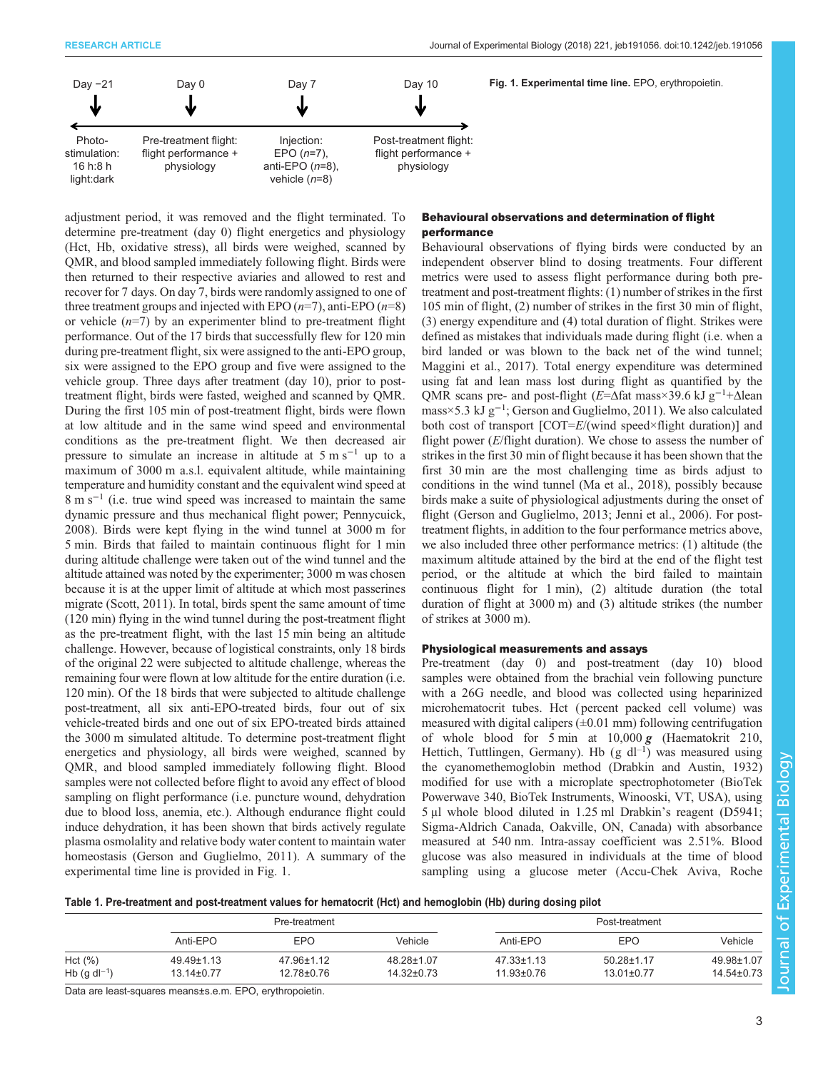<span id="page-2-0"></span>

adjustment period, it was removed and the flight terminated. To determine pre-treatment (day 0) flight energetics and physiology (Hct, Hb, oxidative stress), all birds were weighed, scanned by QMR, and blood sampled immediately following flight. Birds were then returned to their respective aviaries and allowed to rest and recover for 7 days. On day 7, birds were randomly assigned to one of three treatment groups and injected with EPO  $(n=7)$ , anti-EPO  $(n=8)$ or vehicle  $(n=7)$  by an experimenter blind to pre-treatment flight performance. Out of the 17 birds that successfully flew for 120 min during pre-treatment flight, six were assigned to the anti-EPO group, six were assigned to the EPO group and five were assigned to the vehicle group. Three days after treatment (day 10), prior to posttreatment flight, birds were fasted, weighed and scanned by QMR. During the first 105 min of post-treatment flight, birds were flown at low altitude and in the same wind speed and environmental conditions as the pre-treatment flight. We then decreased air pressure to simulate an increase in altitude at  $5 \text{ m s}^{-1}$  up to a maximum of 3000 m a.s.l. equivalent altitude, while maintaining temperature and humidity constant and the equivalent wind speed at 8ms−<sup>1</sup> (i.e. true wind speed was increased to maintain the same dynamic pressure and thus mechanical flight power; [Pennycuick,](#page-9-0) [2008](#page-9-0)). Birds were kept flying in the wind tunnel at 3000 m for 5 min. Birds that failed to maintain continuous flight for 1 min during altitude challenge were taken out of the wind tunnel and the altitude attained was noted by the experimenter; 3000 m was chosen because it is at the upper limit of altitude at which most passerines migrate ([Scott, 2011\)](#page-9-0). In total, birds spent the same amount of time (120 min) flying in the wind tunnel during the post-treatment flight as the pre-treatment flight, with the last 15 min being an altitude challenge. However, because of logistical constraints, only 18 birds of the original 22 were subjected to altitude challenge, whereas the remaining four were flown at low altitude for the entire duration (i.e. 120 min). Of the 18 birds that were subjected to altitude challenge post-treatment, all six anti-EPO-treated birds, four out of six vehicle-treated birds and one out of six EPO-treated birds attained the 3000 m simulated altitude. To determine post-treatment flight energetics and physiology, all birds were weighed, scanned by QMR, and blood sampled immediately following flight. Blood samples were not collected before flight to avoid any effect of blood sampling on flight performance (i.e. puncture wound, dehydration due to blood loss, anemia, etc.). Although endurance flight could induce dehydration, it has been shown that birds actively regulate plasma osmolality and relative body water content to maintain water homeostasis [\(Gerson and Guglielmo, 2011\)](#page-8-0). A summary of the experimental time line is provided in Fig. 1.

## Behavioural observations and determination of flight performance

Behavioural observations of flying birds were conducted by an independent observer blind to dosing treatments. Four different metrics were used to assess flight performance during both pretreatment and post-treatment flights: (1) number of strikes in the first 105 min of flight, (2) number of strikes in the first 30 min of flight, (3) energy expenditure and (4) total duration of flight. Strikes were defined as mistakes that individuals made during flight (i.e. when a bird landed or was blown to the back net of the wind tunnel; [Maggini et al., 2017](#page-9-0)). Total energy expenditure was determined using fat and lean mass lost during flight as quantified by the QMR scans pre- and post-flight ( $E=\Delta$ fat mass×39.6 kJ g<sup>-1</sup>+ $\Delta$ lean mass×5.3 kJ g−<sup>1</sup> ; [Gerson and Guglielmo, 2011](#page-8-0)). We also calculated both cost of transport [COT=E/(wind speed×flight duration)] and flight power  $(E/\text{flight duration})$ . We chose to assess the number of strikes in the first 30 min of flight because it has been shown that the first 30 min are the most challenging time as birds adjust to conditions in the wind tunnel [\(Ma et al., 2018\)](#page-9-0), possibly because birds make a suite of physiological adjustments during the onset of flight ([Gerson and Guglielmo, 2013](#page-8-0); [Jenni et al., 2006](#page-9-0)). For posttreatment flights, in addition to the four performance metrics above, we also included three other performance metrics: (1) altitude (the maximum altitude attained by the bird at the end of the flight test period, or the altitude at which the bird failed to maintain continuous flight for 1 min), (2) altitude duration (the total duration of flight at 3000 m) and (3) altitude strikes (the number of strikes at 3000 m).

## Physiological measurements and assays

Pre-treatment (day 0) and post-treatment (day 10) blood samples were obtained from the brachial vein following puncture with a 26G needle, and blood was collected using heparinized microhematocrit tubes. Hct ( percent packed cell volume) was measured with digital calipers  $(\pm 0.01 \text{ mm})$  following centrifugation of whole blood for 5 min at  $10,000 g$  (Haematokrit 210, Hettich, Tuttlingen, Germany). Hb  $(g \, dl^{-1})$  was measured using the cyanomethemoglobin method [\(Drabkin and Austin, 1932\)](#page-8-0) modified for use with a microplate spectrophotometer (BioTek Powerwave 340, BioTek Instruments, Winooski, VT, USA), using 5 μl whole blood diluted in 1.25 ml Drabkin's reagent (D5941; Sigma-Aldrich Canada, Oakville, ON, Canada) with absorbance measured at 540 nm. Intra-assay coefficient was 2.51%. Blood glucose was also measured in individuals at the time of blood sampling using a glucose meter (Accu-Chek Aviva, Roche

| Table 1. Pre-treatment and post-treatment values for hematocrit (Hct) and hemoglobin (Hb) during dosing pilot |  |  |
|---------------------------------------------------------------------------------------------------------------|--|--|
|                                                                                                               |  |  |

|                                        | Pre-treatment                  |                          | Post-treatment                 |                                      |                                |                                |
|----------------------------------------|--------------------------------|--------------------------|--------------------------------|--------------------------------------|--------------------------------|--------------------------------|
|                                        | Anti-EPO                       | EPO                      | Vehicle                        | Anti-EPO                             | <b>EPO</b>                     | Vehicle                        |
| Hct $(\%)$<br>Hb (g dl <sup>-1</sup> ) | 49.49±1.13<br>$13.14 \pm 0.77$ | 47.96±1.12<br>12.78±0.76 | 48.28±1.07<br>$14.32 \pm 0.73$ | $47.33 \pm 1.13$<br>$11.93 \pm 0.76$ | 50.28±1.17<br>$13.01 \pm 0.77$ | 49.98±1.07<br>$14.54 \pm 0.73$ |

Data are least-squares means±s.e.m. EPO, erythropoietin.

Biology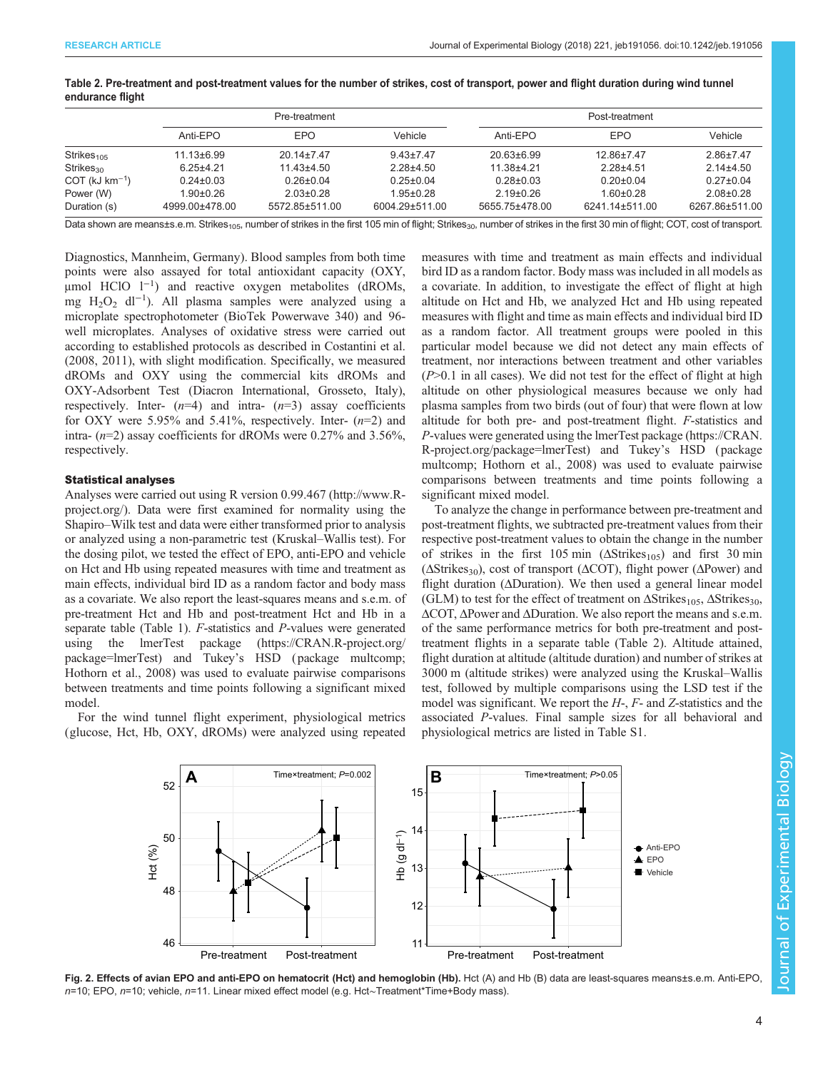|                              | Pre-treatment                   |                                   |                                   | Post-treatment                    |                                   |                                 |
|------------------------------|---------------------------------|-----------------------------------|-----------------------------------|-----------------------------------|-----------------------------------|---------------------------------|
|                              | Anti-EPO                        | EPO                               | Vehicle                           | Anti-EPO                          | <b>EPO</b>                        | Vehicle                         |
| Strikes $105$                | $11.13 \pm 6.99$                | $20.14 \pm 7.47$                  | $9.43 \pm 7.47$                   | $20.63 \pm 6.99$                  | 12.86±7.47                        | $2.86 \pm 7.47$                 |
| Strikes <sub>30</sub>        | $6.25 + 4.21$                   | $11.43 \pm 4.50$                  | $2.28 + 4.50$                     | $11.38 + 4.21$                    | $2.28 + 4.51$                     | $2.14\pm4.50$                   |
| $COT$ (kJ km <sup>-1</sup> ) | $0.24 \pm 0.03$                 | $0.26 \pm 0.04$                   | $0.25 \pm 0.04$                   | $0.28 \pm 0.03$                   | $0.20 \pm 0.04$                   | $0.27 \pm 0.04$                 |
| Power (W)<br>Duration (s)    | $1.90 + 0.26$<br>4999.00±478.00 | $2.03 \pm 0.28$<br>5572.85±511.00 | $1.95 \pm 0.28$<br>6004.29±511.00 | $2.19 \pm 0.26$<br>5655.75±478.00 | $1.60 \pm 0.28$<br>6241.14±511.00 | $2.08 + 0.28$<br>6267.86±511.00 |

<span id="page-3-0"></span>Table 2. Pre-treatment and post-treatment values for the number of strikes, cost of transport, power and flight duration during wind tunnel endurance flight

Data shown are means±s.e.m. Strikes<sub>105</sub>, number of strikes in the first 105 min of flight; Strikes<sub>30</sub>, number of strikes in the first 30 min of flight; COT, cost of transport.

Diagnostics, Mannheim, Germany). Blood samples from both time points were also assayed for total antioxidant capacity (OXY, μmol HClO l−<sup>1</sup> ) and reactive oxygen metabolites (dROMs, mg H2O2 dl−<sup>1</sup> ). All plasma samples were analyzed using a microplate spectrophotometer (BioTek Powerwave 340) and 96 well microplates. Analyses of oxidative stress were carried out according to established protocols as described in [Costantini et al.](#page-8-0) [\(2008](#page-8-0), [2011\)](#page-8-0), with slight modification. Specifically, we measured dROMs and OXY using the commercial kits dROMs and OXY-Adsorbent Test (Diacron International, Grosseto, Italy), respectively. Inter-  $(n=4)$  and intra-  $(n=3)$  assay coefficients for OXY were 5.95% and 5.41%, respectively. Inter-  $(n=2)$  and intra-  $(n=2)$  assay coefficients for dROMs were 0.27% and 3.56%, respectively.

#### Statistical analyses

Analyses were carried out using R version 0.99.467 [\(http://www.R](http://www.R-project.org/)[project.org/](http://www.R-project.org/)). Data were first examined for normality using the Shapiro–Wilk test and data were either transformed prior to analysis or analyzed using a non-parametric test (Kruskal–Wallis test). For the dosing pilot, we tested the effect of EPO, anti-EPO and vehicle on Hct and Hb using repeated measures with time and treatment as main effects, individual bird ID as a random factor and body mass as a covariate. We also report the least-squares means and s.e.m. of pre-treatment Hct and Hb and post-treatment Hct and Hb in a separate table ([Table 1](#page-2-0)). F-statistics and P-values were generated using the lmerTest package [\(https://CRAN.R-project.org/](https://CRAN.R-project.org/package=lmerTest) [package=lmerTest\)](https://CRAN.R-project.org/package=lmerTest) and Tukey's HSD ( package multcomp; [Hothorn et al., 2008\)](#page-8-0) was used to evaluate pairwise comparisons between treatments and time points following a significant mixed model.

For the wind tunnel flight experiment, physiological metrics (glucose, Hct, Hb, OXY, dROMs) were analyzed using repeated measures with time and treatment as main effects and individual bird ID as a random factor. Body mass was included in all models as a covariate. In addition, to investigate the effect of flight at high altitude on Hct and Hb, we analyzed Hct and Hb using repeated measures with flight and time as main effects and individual bird ID as a random factor. All treatment groups were pooled in this particular model because we did not detect any main effects of treatment, nor interactions between treatment and other variables  $(P>0.1$  in all cases). We did not test for the effect of flight at high altitude on other physiological measures because we only had plasma samples from two birds (out of four) that were flown at low altitude for both pre- and post-treatment flight. F-statistics and P-values were generated using the lmerTest package [\(https://CRAN.](https://CRAN.R-project.org/package=lmerTest) [R-project.org/package=lmerTest\)](https://CRAN.R-project.org/package=lmerTest) and Tukey's HSD ( package multcomp; [Hothorn et al., 2008](#page-8-0)) was used to evaluate pairwise comparisons between treatments and time points following a significant mixed model.

To analyze the change in performance between pre-treatment and post-treatment flights, we subtracted pre-treatment values from their respective post-treatment values to obtain the change in the number of strikes in the first 105 min  $(\Delta Strikes<sub>105</sub>)$  and first 30 min ( $\Delta$ Strikes<sub>30</sub>), cost of transport ( $\Delta$ COT), flight power ( $\Delta$ Power) and flight duration (ΔDuration). We then used a general linear model (GLM) to test for the effect of treatment on  $\Delta \text{Strikes}_{105}$ ,  $\Delta \text{Strikes}_{30}$ , ΔCOT, ΔPower and ΔDuration. We also report the means and s.e.m. of the same performance metrics for both pre-treatment and posttreatment flights in a separate table (Table 2). Altitude attained, flight duration at altitude (altitude duration) and number of strikes at 3000 m (altitude strikes) were analyzed using the Kruskal–Wallis test, followed by multiple comparisons using the LSD test if the model was significant. We report the  $H<sub>z</sub>$ .  $F<sub>z</sub>$  and  $Z<sub>z</sub>$  statistics and the associated P-values. Final sample sizes for all behavioral and physiological metrics are listed in [Table S1](http://jeb.biologists.org/lookup/doi/10.1242/jeb.191056.supplemental).



Fig. 2. Effects of avian EPO and anti-EPO on hematocrit (Hct) and hemoglobin (Hb). Hct (A) and Hb (B) data are least-squares means±s.e.m. Anti-EPO n=10; EPO, n=10; vehicle, n=11. Linear mixed effect model (e.g. Hct∼Treatment\*Time+Body mass).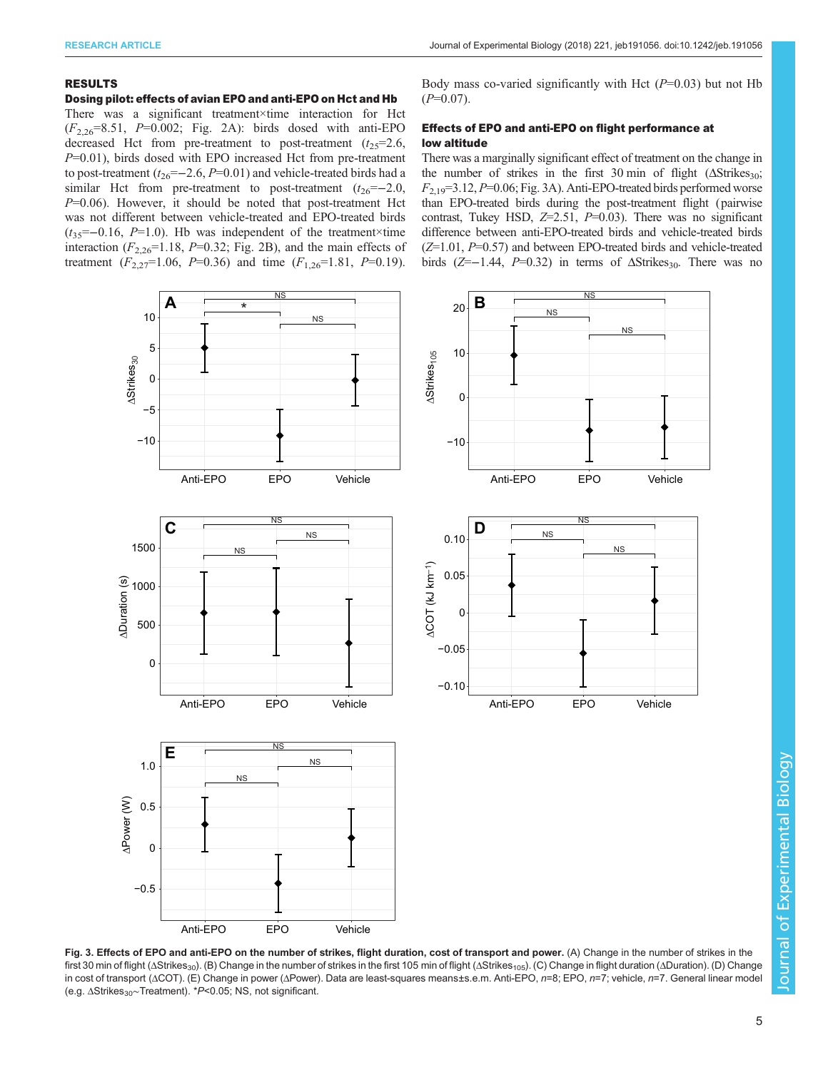#### <span id="page-4-0"></span>RESULTS

## Dosing pilot: effects of avian EPO and anti-EPO on Hct and Hb

There was a significant treatment×time interaction for Hct  $(F_{2,26}=8.51, P=0.002;$  [Fig. 2](#page-3-0)A): birds dosed with anti-EPO decreased Hct from pre-treatment to post-treatment  $(t_{25}=2.6,$  $P=0.01$ ), birds dosed with EPO increased Hct from pre-treatment to post-treatment ( $t_{26}=-2.6, P=0.01$ ) and vehicle-treated birds had a similar Hct from pre-treatment to post-treatment  $(t_{26}=-2.0,$  $P=0.06$ ). However, it should be noted that post-treatment Hct was not different between vehicle-treated and EPO-treated birds  $(t_{35}=-0.16, P=1.0)$ . Hb was independent of the treatment×time interaction  $(F_{2,26}=1.18, P=0.32;$  [Fig. 2B](#page-3-0)), and the main effects of treatment  $(F_{2,27}=1.06, P=0.36)$  and time  $(F_{1,26}=1.81, P=0.19)$ .

Body mass co-varied significantly with Hct  $(P=0.03)$  but not Hb  $(P=0.07)$ .

# Effects of EPO and anti-EPO on flight performance at low altitude

There was a marginally significant effect of treatment on the change in the number of strikes in the first 30 min of flight  $(\Delta Strikes_{30};$  $F_{2,19}=3.12, P=0.06$ ; Fig. 3A). Anti-EPO-treated birds performed worse than EPO-treated birds during the post-treatment flight (pairwise contrast, Tukey HSD,  $Z=2.51$ ,  $P=0.03$ ). There was no significant difference between anti-EPO-treated birds and vehicle-treated birds  $(Z=1.01, P=0.57)$  and between EPO-treated birds and vehicle-treated birds ( $Z=-1.44$ ,  $P=0.32$ ) in terms of  $\Delta S$ trikes<sub>30</sub>. There was no



Fig. 3. Effects of EPO and anti-EPO on the number of strikes, flight duration, cost of transport and power. (A) Change in the number of strikes in the first 30 min of flight (ΔStrikes<sub>30</sub>). (B) Change in the number of strikes in the first 105 min of flight (ΔStrikes<sub>105</sub>). (C) Change in flight duration (ΔDuration). (D) Change in cost of transport (ΔCOT). (E) Change in power (ΔPower). Data are least-squares means±s.e.m. Anti-EPO, n=8; EPO, n=7; vehicle, n=7. General linear model (e.g. ∆Strikes<sub>30</sub>∼Treatment). \*P<0.05; NS, not significant.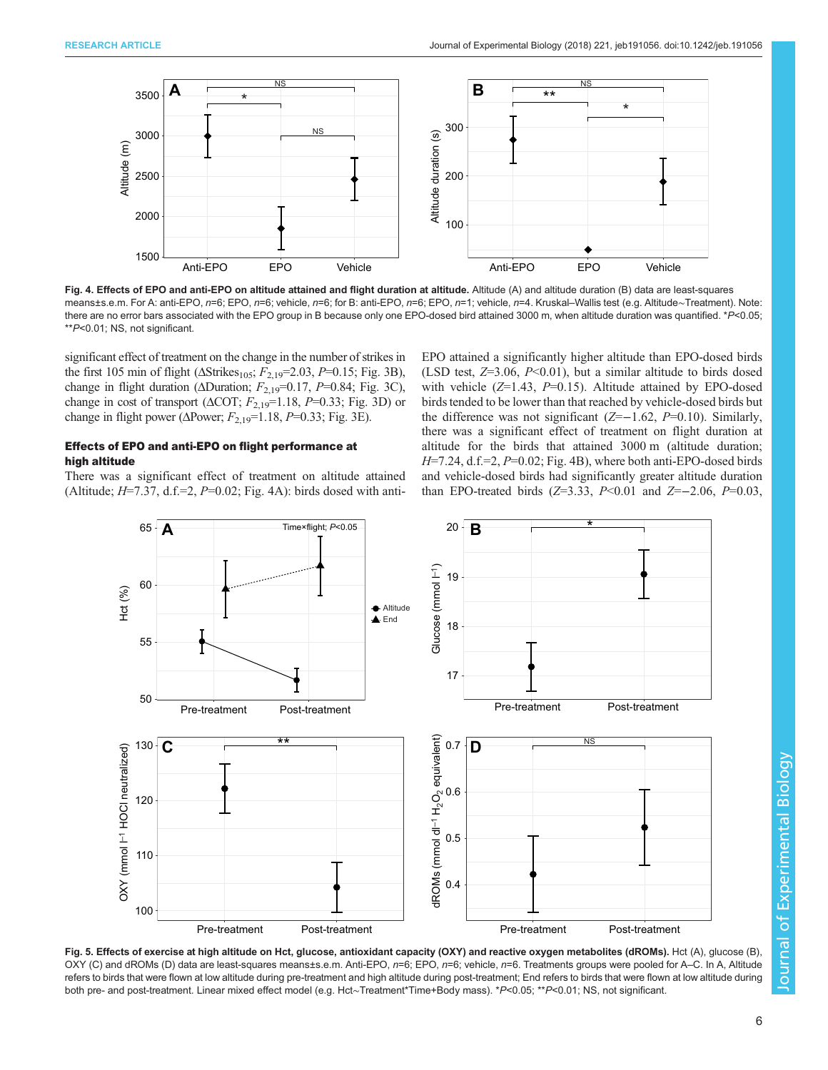<span id="page-5-0"></span>

Fig. 4. Effects of EPO and anti-EPO on altitude attained and flight duration at altitude. Altitude (A) and altitude duration (B) data are least-squares means±s.e.m. For A: anti-EPO, n=6; EPO, n=6; vehicle, n=6; for B: anti-EPO, n=6; EPO, n=1; vehicle, n=4. Kruskal–Wallis test (e.g. Altitude∼Treatment). Note: there are no error bars associated with the EPO group in B because only one EPO-dosed bird attained 3000 m, when altitude duration was quantified. \*P<0.05; \*\*P<0.01; NS, not significant.

significant effect of treatment on the change in the number of strikes in the first 105 min of flight ( $ΔStrikes<sub>105</sub>; F<sub>2,19</sub>=2.03, P=0.15; Fig. 3B$  $ΔStrikes<sub>105</sub>; F<sub>2,19</sub>=2.03, P=0.15; Fig. 3B$ ), change in flight duration ( $\Delta$ Duration;  $F_{2,19}$ =0.17,  $P$ =0.84; [Fig. 3C](#page-4-0)), change in cost of transport ( $\triangle$ COT;  $F_{2,19}$ =1.18, P=0.33; [Fig. 3D](#page-4-0)) or change in flight power ( $\triangle$ Power;  $F_{2,19}$ =1.18, P=0.33; [Fig. 3](#page-4-0)E).

# Effects of EPO and anti-EPO on flight performance at high altitude

There was a significant effect of treatment on altitude attained (Altitude;  $H=7.37$ , d.f.=2,  $P=0.02$ ; Fig. 4A): birds dosed with antiEPO attained a significantly higher altitude than EPO-dosed birds (LSD test,  $Z=3.06$ ,  $P<0.01$ ), but a similar altitude to birds dosed with vehicle  $(Z=1.43, P=0.15)$ . Altitude attained by EPO-dosed birds tended to be lower than that reached by vehicle-dosed birds but the difference was not significant ( $Z=-1.62$ ,  $P=0.10$ ). Similarly, there was a significant effect of treatment on flight duration at altitude for the birds that attained 3000 m (altitude duration;  $H=7.24$ , d.f.=2,  $P=0.02$ ; Fig. 4B), where both anti-EPO-dosed birds and vehicle-dosed birds had significantly greater altitude duration than EPO-treated birds ( $Z=3.33$ ,  $P<0.01$  and  $Z=-2.06$ ,  $P=0.03$ ,



Fig. 5. Effects of exercise at high altitude on Hct, glucose, antioxidant capacity (OXY) and reactive oxygen metabolites (dROMs). Hct (A), glucose (B), OXY (C) and dROMs (D) data are least-squares means±s.e.m. Anti-EPO, n=6; EPO, n=6; vehicle, n=6. Treatments groups were pooled for A-C. In A, Altitude refers to birds that were flown at low altitude during pre-treatment and high altitude during post-treatment; End refers to birds that were flown at low altitude during both pre- and post-treatment. Linear mixed effect model (e.g. Hct∼Treatment\*Time+Body mass). \*P<0.05; \*\*P<0.01; NS, not significant.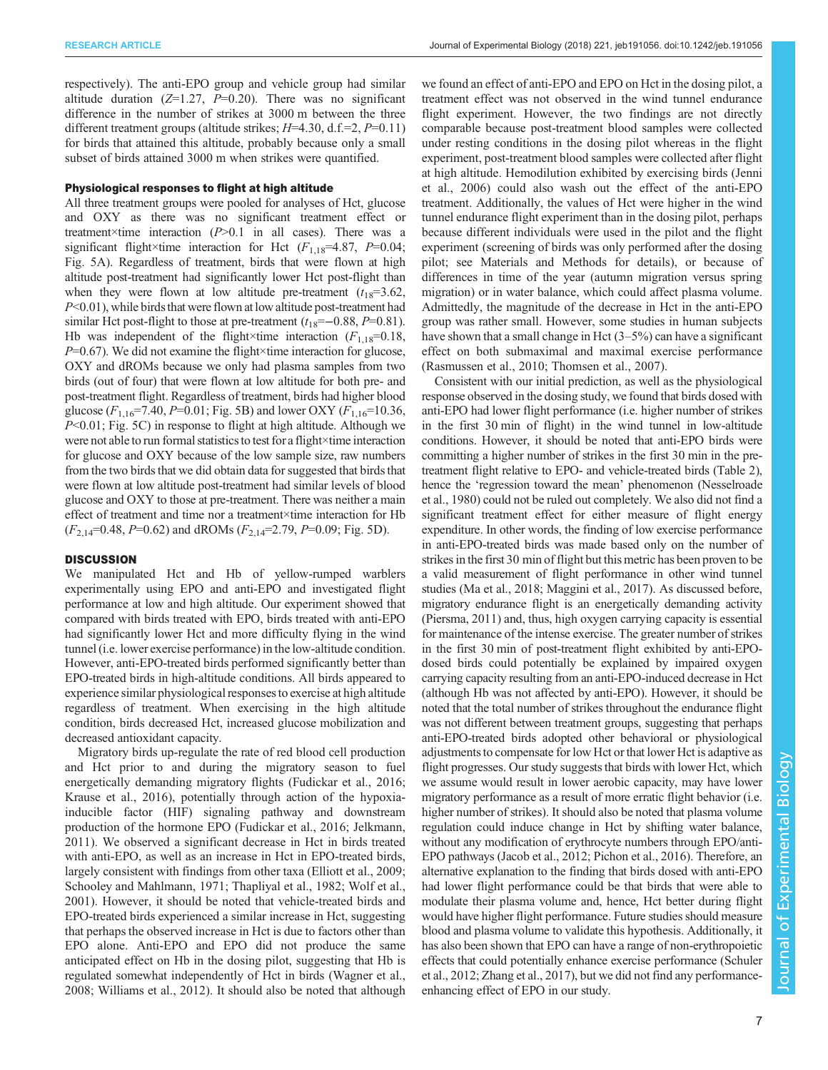respectively). The anti-EPO group and vehicle group had similar altitude duration  $(Z=1.27, P=0.20)$ . There was no significant difference in the number of strikes at 3000 m between the three different treatment groups (altitude strikes;  $H=4.30$ , d.f.=2,  $P=0.11$ ) for birds that attained this altitude, probably because only a small subset of birds attained 3000 m when strikes were quantified.

#### Physiological responses to flight at high altitude

All three treatment groups were pooled for analyses of Hct, glucose and OXY as there was no significant treatment effect or treatment×time interaction  $(P>0.1$  in all cases). There was a significant flight×time interaction for Hct  $(F_{1,18}=4.87, P=0.04;$ [Fig. 5A](#page-5-0)). Regardless of treatment, birds that were flown at high altitude post-treatment had significantly lower Hct post-flight than when they were flown at low altitude pre-treatment  $(t_{18}=3.62,$  $P<0.01$ ), while birds that were flown at low altitude post-treatment had similar Hct post-flight to those at pre-treatment  $(t_{18}=-0.88, P=0.81)$ . Hb was independent of the flight×time interaction  $(F_{1,18}=0.18)$ ,  $P=0.67$ ). We did not examine the flight×time interaction for glucose, OXY and dROMs because we only had plasma samples from two birds (out of four) that were flown at low altitude for both pre- and post-treatment flight. Regardless of treatment, birds had higher blood glucose ( $F_{1,16}$ =7.40, P=0.01; [Fig. 5](#page-5-0)B) and lower OXY ( $F_{1,16}$ =10.36,  $P<0.01$ ; [Fig. 5](#page-5-0)C) in response to flight at high altitude. Although we were not able to run formal statistics to test for a flight×time interaction for glucose and OXY because of the low sample size, raw numbers from the two birds that we did obtain data for suggested that birds that were flown at low altitude post-treatment had similar levels of blood glucose and OXY to those at pre-treatment. There was neither a main effect of treatment and time nor a treatment×time interaction for Hb  $(F_{2,14}=0.48, P=0.62)$  and dROMs  $(F_{2,14}=2.79, P=0.09;$  [Fig. 5](#page-5-0)D).

## **DISCUSSION**

We manipulated Hct and Hb of yellow-rumped warblers experimentally using EPO and anti-EPO and investigated flight performance at low and high altitude. Our experiment showed that compared with birds treated with EPO, birds treated with anti-EPO had significantly lower Hct and more difficulty flying in the wind tunnel (i.e. lower exercise performance) in the low-altitude condition. However, anti-EPO-treated birds performed significantly better than EPO-treated birds in high-altitude conditions. All birds appeared to experience similar physiological responses to exercise at high altitude regardless of treatment. When exercising in the high altitude condition, birds decreased Hct, increased glucose mobilization and decreased antioxidant capacity.

Migratory birds up-regulate the rate of red blood cell production and Hct prior to and during the migratory season to fuel energetically demanding migratory flights [\(Fudickar et al., 2016](#page-8-0); [Krause et al., 2016](#page-9-0)), potentially through action of the hypoxiainducible factor (HIF) signaling pathway and downstream production of the hormone EPO ([Fudickar et al., 2016;](#page-8-0) [Jelkmann,](#page-9-0) [2011](#page-9-0)). We observed a significant decrease in Hct in birds treated with anti-EPO, as well as an increase in Hct in EPO-treated birds, largely consistent with findings from other taxa [\(Elliott et al., 2009](#page-8-0); [Schooley and Mahlmann, 1971; Thapliyal et al., 1982; Wolf et al.,](#page-9-0) [2001](#page-9-0)). However, it should be noted that vehicle-treated birds and EPO-treated birds experienced a similar increase in Hct, suggesting that perhaps the observed increase in Hct is due to factors other than EPO alone. Anti-EPO and EPO did not produce the same anticipated effect on Hb in the dosing pilot, suggesting that Hb is regulated somewhat independently of Hct in birds [\(Wagner et al.,](#page-9-0) [2008](#page-9-0); [Williams et al., 2012](#page-9-0)). It should also be noted that although we found an effect of anti-EPO and EPO on Hct in the dosing pilot, a treatment effect was not observed in the wind tunnel endurance flight experiment. However, the two findings are not directly comparable because post-treatment blood samples were collected under resting conditions in the dosing pilot whereas in the flight experiment, post-treatment blood samples were collected after flight at high altitude. Hemodilution exhibited by exercising birds [\(Jenni](#page-9-0) [et al., 2006\)](#page-9-0) could also wash out the effect of the anti-EPO treatment. Additionally, the values of Hct were higher in the wind tunnel endurance flight experiment than in the dosing pilot, perhaps because different individuals were used in the pilot and the flight experiment (screening of birds was only performed after the dosing pilot; see Materials and Methods for details), or because of differences in time of the year (autumn migration versus spring migration) or in water balance, which could affect plasma volume. Admittedly, the magnitude of the decrease in Hct in the anti-EPO group was rather small. However, some studies in human subjects have shown that a small change in Hct (3–5%) can have a significant effect on both submaximal and maximal exercise performance [\(Rasmussen et al., 2010; Thomsen et al., 2007\)](#page-9-0).

Consistent with our initial prediction, as well as the physiological response observed in the dosing study, we found that birds dosed with anti-EPO had lower flight performance (i.e. higher number of strikes in the first 30 min of flight) in the wind tunnel in low-altitude conditions. However, it should be noted that anti-EPO birds were committing a higher number of strikes in the first 30 min in the pretreatment flight relative to EPO- and vehicle-treated birds [\(Table 2\)](#page-3-0), hence the 'regression toward the mean' phenomenon [\(Nesselroade](#page-9-0) [et al., 1980](#page-9-0)) could not be ruled out completely. We also did not find a significant treatment effect for either measure of flight energy expenditure. In other words, the finding of low exercise performance in anti-EPO-treated birds was made based only on the number of strikes in the first 30 min of flight but this metric has been proven to be a valid measurement of flight performance in other wind tunnel studies ([Ma et al., 2018](#page-9-0); [Maggini et al., 2017\)](#page-9-0). As discussed before, migratory endurance flight is an energetically demanding activity [\(Piersma, 2011\)](#page-9-0) and, thus, high oxygen carrying capacity is essential for maintenance of the intense exercise. The greater number of strikes in the first 30 min of post-treatment flight exhibited by anti-EPOdosed birds could potentially be explained by impaired oxygen carrying capacity resulting from an anti-EPO-induced decrease in Hct (although Hb was not affected by anti-EPO). However, it should be noted that the total number of strikes throughout the endurance flight was not different between treatment groups, suggesting that perhaps anti-EPO-treated birds adopted other behavioral or physiological adjustments to compensate for low Hct or that lower Hct is adaptive as flight progresses. Our study suggests that birds with lower Hct, which we assume would result in lower aerobic capacity, may have lower migratory performance as a result of more erratic flight behavior (i.e. higher number of strikes). It should also be noted that plasma volume regulation could induce change in Hct by shifting water balance, without any modification of erythrocyte numbers through EPO/anti-EPO pathways ([Jacob et al., 2012](#page-8-0); [Pichon et al., 2016\)](#page-9-0). Therefore, an alternative explanation to the finding that birds dosed with anti-EPO had lower flight performance could be that birds that were able to modulate their plasma volume and, hence, Hct better during flight would have higher flight performance. Future studies should measure blood and plasma volume to validate this hypothesis. Additionally, it has also been shown that EPO can have a range of non-erythropoietic effects that could potentially enhance exercise performance ([Schuler](#page-9-0) [et al., 2012](#page-9-0); [Zhang et al., 2017](#page-9-0)), but we did not find any performanceenhancing effect of EPO in our study.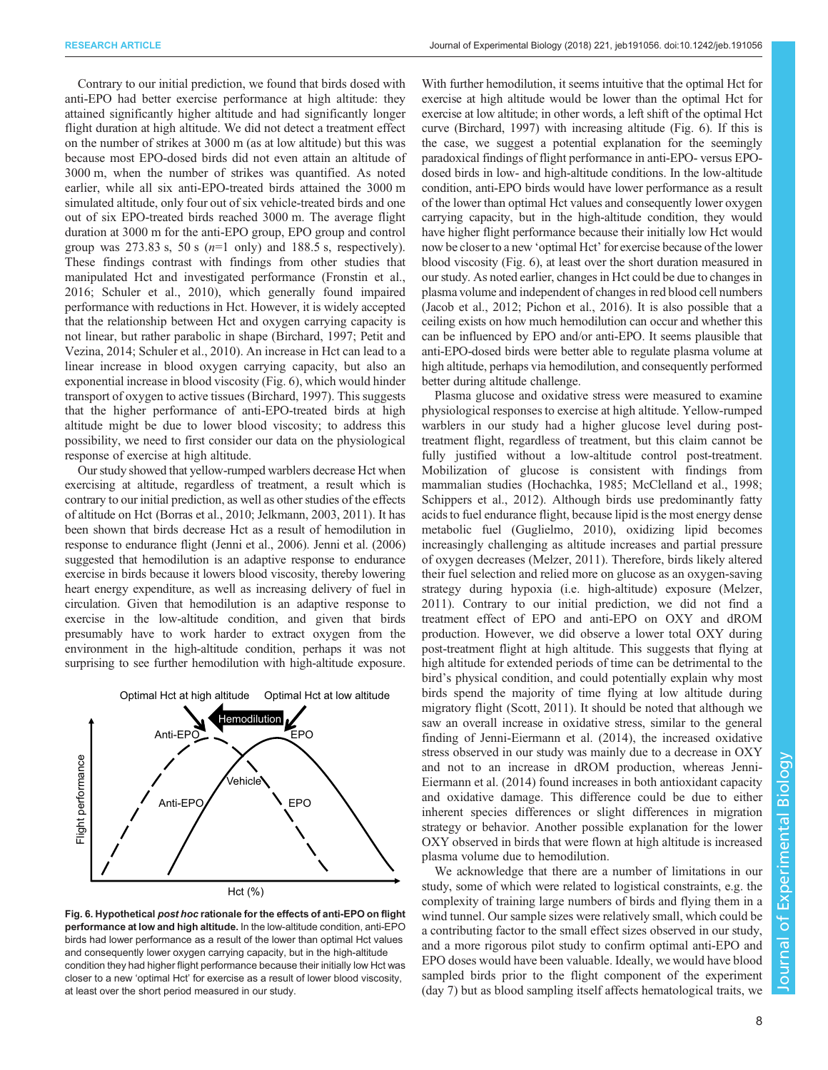Contrary to our initial prediction, we found that birds dosed with anti-EPO had better exercise performance at high altitude: they attained significantly higher altitude and had significantly longer flight duration at high altitude. We did not detect a treatment effect on the number of strikes at 3000 m (as at low altitude) but this was because most EPO-dosed birds did not even attain an altitude of 3000 m, when the number of strikes was quantified. As noted earlier, while all six anti-EPO-treated birds attained the 3000 m simulated altitude, only four out of six vehicle-treated birds and one out of six EPO-treated birds reached 3000 m. The average flight duration at 3000 m for the anti-EPO group, EPO group and control group was 273.83 s, 50 s  $(n=1)$  only) and 188.5 s, respectively). These findings contrast with findings from other studies that manipulated Hct and investigated performance [\(Fronstin et al.,](#page-8-0) [2016](#page-8-0); [Schuler et al., 2010](#page-9-0)), which generally found impaired performance with reductions in Hct. However, it is widely accepted that the relationship between Hct and oxygen carrying capacity is not linear, but rather parabolic in shape [\(Birchard, 1997](#page-8-0); [Petit and](#page-9-0) [Vezina, 2014; Schuler et al., 2010\)](#page-9-0). An increase in Hct can lead to a linear increase in blood oxygen carrying capacity, but also an exponential increase in blood viscosity (Fig. 6), which would hinder transport of oxygen to active tissues [\(Birchard, 1997](#page-8-0)). This suggests that the higher performance of anti-EPO-treated birds at high altitude might be due to lower blood viscosity; to address this possibility, we need to first consider our data on the physiological response of exercise at high altitude.

Our study showed that yellow-rumped warblers decrease Hct when exercising at altitude, regardless of treatment, a result which is contrary to our initial prediction, as well as other studies of the effects of altitude on Hct [\(Borras et al., 2010; Jelkmann, 2003](#page-8-0), [2011](#page-9-0)). It has been shown that birds decrease Hct as a result of hemodilution in response to endurance flight ([Jenni et al., 2006\)](#page-9-0). [Jenni et al. \(2006\)](#page-9-0) suggested that hemodilution is an adaptive response to endurance exercise in birds because it lowers blood viscosity, thereby lowering heart energy expenditure, as well as increasing delivery of fuel in circulation. Given that hemodilution is an adaptive response to exercise in the low-altitude condition, and given that birds presumably have to work harder to extract oxygen from the environment in the high-altitude condition, perhaps it was not surprising to see further hemodilution with high-altitude exposure.



Fig. 6. Hypothetical post hoc rationale for the effects of anti-EPO on flight performance at low and high altitude. In the low-altitude condition, anti-EPO birds had lower performance as a result of the lower than optimal Hct values and consequently lower oxygen carrying capacity, but in the high-altitude condition they had higher flight performance because their initially low Hct was closer to a new 'optimal Hct' for exercise as a result of lower blood viscosity, at least over the short period measured in our study.

With further hemodilution, it seems intuitive that the optimal Hct for exercise at high altitude would be lower than the optimal Hct for exercise at low altitude; in other words, a left shift of the optimal Hct curve [\(Birchard, 1997\)](#page-8-0) with increasing altitude (Fig. 6). If this is the case, we suggest a potential explanation for the seemingly paradoxical findings of flight performance in anti-EPO- versus EPOdosed birds in low- and high-altitude conditions. In the low-altitude condition, anti-EPO birds would have lower performance as a result of the lower than optimal Hct values and consequently lower oxygen carrying capacity, but in the high-altitude condition, they would have higher flight performance because their initially low Hct would now be closer to a new 'optimal Hct' for exercise because of the lower blood viscosity (Fig. 6), at least over the short duration measured in our study. As noted earlier, changes in Hct could be due to changes in plasma volume and independent of changes in red blood cell numbers [\(Jacob et al., 2012](#page-8-0); [Pichon et al., 2016](#page-9-0)). It is also possible that a ceiling exists on how much hemodilution can occur and whether this can be influenced by EPO and/or anti-EPO. It seems plausible that anti-EPO-dosed birds were better able to regulate plasma volume at high altitude, perhaps via hemodilution, and consequently performed better during altitude challenge.

Plasma glucose and oxidative stress were measured to examine physiological responses to exercise at high altitude. Yellow-rumped warblers in our study had a higher glucose level during posttreatment flight, regardless of treatment, but this claim cannot be fully justified without a low-altitude control post-treatment. Mobilization of glucose is consistent with findings from mammalian studies [\(Hochachka, 1985](#page-8-0); [McClelland et al., 1998](#page-9-0); [Schippers et al., 2012\)](#page-9-0). Although birds use predominantly fatty acids to fuel endurance flight, because lipid is the most energy dense metabolic fuel [\(Guglielmo, 2010\)](#page-8-0), oxidizing lipid becomes increasingly challenging as altitude increases and partial pressure of oxygen decreases [\(Melzer, 2011\)](#page-9-0). Therefore, birds likely altered their fuel selection and relied more on glucose as an oxygen-saving strategy during hypoxia (i.e. high-altitude) exposure [\(Melzer,](#page-9-0) [2011\)](#page-9-0). Contrary to our initial prediction, we did not find a treatment effect of EPO and anti-EPO on OXY and dROM production. However, we did observe a lower total OXY during post-treatment flight at high altitude. This suggests that flying at high altitude for extended periods of time can be detrimental to the bird's physical condition, and could potentially explain why most birds spend the majority of time flying at low altitude during migratory flight ([Scott, 2011](#page-9-0)). It should be noted that although we saw an overall increase in oxidative stress, similar to the general finding of [Jenni-Eiermann et al. \(2014\),](#page-9-0) the increased oxidative stress observed in our study was mainly due to a decrease in OXY and not to an increase in dROM production, whereas [Jenni-](#page-9-0)[Eiermann et al. \(2014\)](#page-9-0) found increases in both antioxidant capacity and oxidative damage. This difference could be due to either inherent species differences or slight differences in migration strategy or behavior. Another possible explanation for the lower OXY observed in birds that were flown at high altitude is increased plasma volume due to hemodilution.

We acknowledge that there are a number of limitations in our study, some of which were related to logistical constraints, e.g. the complexity of training large numbers of birds and flying them in a wind tunnel. Our sample sizes were relatively small, which could be a contributing factor to the small effect sizes observed in our study, and a more rigorous pilot study to confirm optimal anti-EPO and EPO doses would have been valuable. Ideally, we would have blood sampled birds prior to the flight component of the experiment (day 7) but as blood sampling itself affects hematological traits, we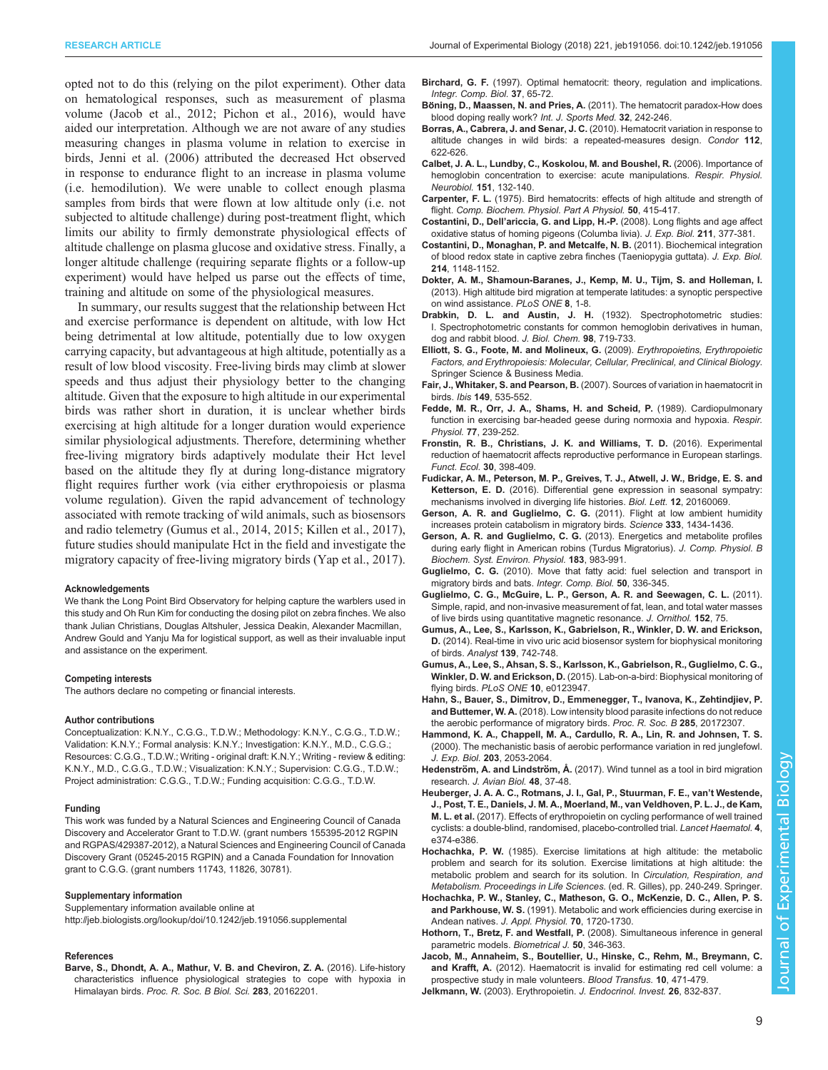<span id="page-8-0"></span>opted not to do this (relying on the pilot experiment). Other data on hematological responses, such as measurement of plasma volume (Jacob et al., 2012; [Pichon et al., 2016](#page-9-0)), would have aided our interpretation. Although we are not aware of any studies measuring changes in plasma volume in relation to exercise in birds, [Jenni et al. \(2006\)](#page-9-0) attributed the decreased Hct observed in response to endurance flight to an increase in plasma volume (i.e. hemodilution). We were unable to collect enough plasma samples from birds that were flown at low altitude only (i.e. not subjected to altitude challenge) during post-treatment flight, which limits our ability to firmly demonstrate physiological effects of altitude challenge on plasma glucose and oxidative stress. Finally, a longer altitude challenge (requiring separate flights or a follow-up experiment) would have helped us parse out the effects of time, training and altitude on some of the physiological measures.

In summary, our results suggest that the relationship between Hct and exercise performance is dependent on altitude, with low Hct being detrimental at low altitude, potentially due to low oxygen carrying capacity, but advantageous at high altitude, potentially as a result of low blood viscosity. Free-living birds may climb at slower speeds and thus adjust their physiology better to the changing altitude. Given that the exposure to high altitude in our experimental birds was rather short in duration, it is unclear whether birds exercising at high altitude for a longer duration would experience similar physiological adjustments. Therefore, determining whether free-living migratory birds adaptively modulate their Hct level based on the altitude they fly at during long-distance migratory flight requires further work (via either erythropoiesis or plasma volume regulation). Given the rapid advancement of technology associated with remote tracking of wild animals, such as biosensors and radio telemetry (Gumus et al., 2014, 2015; [Killen et al., 2017\)](#page-9-0), future studies should manipulate Hct in the field and investigate the migratory capacity of free-living migratory birds ([Yap et al., 2017\)](#page-9-0).

#### Acknowledgements

We thank the Long Point Bird Observatory for helping capture the warblers used in this study and Oh Run Kim for conducting the dosing pilot on zebra finches. We also thank Julian Christians, Douglas Altshuler, Jessica Deakin, Alexander Macmillan, Andrew Gould and Yanju Ma for logistical support, as well as their invaluable input and assistance on the experiment.

#### Competing interests

The authors declare no competing or financial interests.

#### Author contributions

Conceptualization: K.N.Y., C.G.G., T.D.W.; Methodology: K.N.Y., C.G.G., T.D.W.; Validation: K.N.Y.; Formal analysis: K.N.Y.; Investigation: K.N.Y., M.D., C.G.G.; Resources: C.G.G., T.D.W.; Writing - original draft: K.N.Y.; Writing - review & editing: K.N.Y., M.D., C.G.G., T.D.W.; Visualization: K.N.Y.; Supervision: C.G.G., T.D.W.; Project administration: C.G.G., T.D.W.; Funding acquisition: C.G.G., T.D.W.

#### Funding

This work was funded by a Natural Sciences and Engineering Council of Canada Discovery and Accelerator Grant to T.D.W. (grant numbers 155395-2012 RGPIN and RGPAS/429387-2012), a Natural Sciences and Engineering Council of Canada Discovery Grant (05245-2015 RGPIN) and a Canada Foundation for Innovation grant to C.G.G. (grant numbers 11743, 11826, 30781).

#### Supplementary information

Supplementary information available online at <http://jeb.biologists.org/lookup/doi/10.1242/jeb.191056.supplemental>

#### References

[Barve, S., Dhondt, A. A., Mathur, V. B. and Cheviron, Z. A.](http://dx.doi.org/10.1098/rspb.2016.2201) (2016). Life-history [characteristics influence physiological strategies to cope with hypoxia in](http://dx.doi.org/10.1098/rspb.2016.2201) Himalayan birds. [Proc. R. Soc. B Biol. Sci.](http://dx.doi.org/10.1098/rspb.2016.2201) 283, 20162201.

- Birchard, G. F. (1997). Optimal hematocrit: theory, regulation and implications. Integr. Comp. Biol. 37, 65-72.
- Böning, D., Maassen, N. and Pries, A. [\(2011\). The hematocrit paradox-How does](http://dx.doi.org/10.1055/s-0030-1255063) [blood doping really work?](http://dx.doi.org/10.1055/s-0030-1255063) Int. J. Sports Med. 32, 242-246.
- Borras, A., Cabrera, J. and Senar, J. C. [\(2010\). Hematocrit variation in response to](http://dx.doi.org/10.1525/cond.2010.090113) [altitude changes in wild birds: a repeated-measures design.](http://dx.doi.org/10.1525/cond.2010.090113) Condor 112, [622-626.](http://dx.doi.org/10.1525/cond.2010.090113)
- [Calbet, J. A. L., Lundby, C., Koskolou, M. and Boushel, R.](http://dx.doi.org/10.1016/j.resp.2006.01.014) (2006). Importance of [hemoglobin concentration to exercise: acute manipulations.](http://dx.doi.org/10.1016/j.resp.2006.01.014) Respir. Physiol. [Neurobiol.](http://dx.doi.org/10.1016/j.resp.2006.01.014) 151, 132-140.
- Carpenter, F. L. [\(1975\). Bird hematocrits: effects of high altitude and strength of](http://dx.doi.org/10.1016/0300-9629(75)90035-3) flight. [Comp. Biochem. Physiol. Part A Physiol.](http://dx.doi.org/10.1016/0300-9629(75)90035-3) 50, 415-417.
- Costantini, D., Dell'ariccia, G. and Lipp, H.-P. [\(2008\). Long flights and age affect](http://dx.doi.org/10.1242/jeb.012856) [oxidative status of homing pigeons \(Columba livia\).](http://dx.doi.org/10.1242/jeb.012856) J. Exp. Biol. 211, 377-381.
- [Costantini, D., Monaghan, P. and Metcalfe, N. B.](http://dx.doi.org/10.1242/jeb.053496) (2011). Biochemical integration [of blood redox state in captive zebra finches \(Taeniopygia guttata\).](http://dx.doi.org/10.1242/jeb.053496) J. Exp. Biol. 214[, 1148-1152.](http://dx.doi.org/10.1242/jeb.053496)
- [Dokter, A. M., Shamoun-Baranes, J., Kemp, M. U., Tijm, S. and Holleman, I.](http://dx.doi.org/10.1371/journal.pone.0052300) [\(2013\). High altitude bird migration at temperate latitudes: a synoptic perspective](http://dx.doi.org/10.1371/journal.pone.0052300) [on wind assistance.](http://dx.doi.org/10.1371/journal.pone.0052300) PLoS ONE 8, 1-8.
- Drabkin, D. L. and Austin, J. H. (1932). Spectrophotometric studies: I. Spectrophotometric constants for common hemoglobin derivatives in human, dog and rabbit blood. J. Biol. Chem. 98, 719-733.
- Elliott, S. G., Foote, M. and Molineux, G. (2009). Erythropoietins, Erythropoietic Factors, and Erythropoiesis: Molecular, Cellular, Preclinical, and Clinical Biology. Springer Science & Business Media.
- Fair, J., Whitaker, S. and Pearson, B. [\(2007\). Sources of variation in haematocrit in](http://dx.doi.org/10.1111/j.1474-919X.2007.00680.x) birds. Ibis 149[, 535-552.](http://dx.doi.org/10.1111/j.1474-919X.2007.00680.x)
- [Fedde, M. R., Orr, J. A., Shams, H. and Scheid, P.](http://dx.doi.org/10.1016/0034-5687(89)90010-8) (1989). Cardiopulmonary [function in exercising bar-headed geese during normoxia and hypoxia.](http://dx.doi.org/10.1016/0034-5687(89)90010-8) Respir. Physiol. 77[, 239-252.](http://dx.doi.org/10.1016/0034-5687(89)90010-8)
- [Fronstin, R. B., Christians, J. K. and Williams, T. D.](http://dx.doi.org/10.1111/1365-2435.12511) (2016). Experimental [reduction of haematocrit affects reproductive performance in European starlings.](http://dx.doi.org/10.1111/1365-2435.12511) [Funct. Ecol.](http://dx.doi.org/10.1111/1365-2435.12511) 30, 398-409.
- [Fudickar, A. M., Peterson, M. P., Greives, T. J., Atwell, J. W., Bridge, E. S. and](http://dx.doi.org/10.1098/rsbl.2016.0069) Ketterson, E. D. [\(2016\). Differential gene expression in seasonal sympatry:](http://dx.doi.org/10.1098/rsbl.2016.0069) [mechanisms involved in diverging life histories.](http://dx.doi.org/10.1098/rsbl.2016.0069) Biol. Lett. 12, 20160069.
- [Gerson, A. R. and Guglielmo, C. G.](http://dx.doi.org/10.1126/science.1210449) (2011). Flight at low ambient humidity [increases protein catabolism in migratory birds.](http://dx.doi.org/10.1126/science.1210449) Science 333, 1434-1436.
- Gerson, A. R. and Guglielmo, C. G. [\(2013\). Energetics and metabolite profiles](http://dx.doi.org/10.1007/s00360-013-0767-y) [during early flight in American robins \(Turdus Migratorius\).](http://dx.doi.org/10.1007/s00360-013-0767-y) J. Comp. Physiol. B [Biochem. Syst. Environ. Physiol.](http://dx.doi.org/10.1007/s00360-013-0767-y) 183, 983-991.
- Guglielmo, C. G. [\(2010\). Move that fatty acid: fuel selection and transport in](http://dx.doi.org/10.1093/icb/icq097) [migratory birds and bats.](http://dx.doi.org/10.1093/icb/icq097) Integr. Comp. Biol. 50, 336-345.
- [Guglielmo, C. G., McGuire, L. P., Gerson, A. R. and Seewagen, C. L.](http://dx.doi.org/10.1007/s10336-011-0724-z) (2011). [Simple, rapid, and non-invasive measurement of fat, lean, and total water masses](http://dx.doi.org/10.1007/s10336-011-0724-z) [of live birds using quantitative magnetic resonance.](http://dx.doi.org/10.1007/s10336-011-0724-z) J. Ornithol. 152, 75.
- [Gumus, A., Lee, S., Karlsson, K., Gabrielson, R., Winkler, D. W. and Erickson,](http://dx.doi.org/10.1039/C3AN01787G) D. [\(2014\). Real-time in vivo uric acid biosensor system for biophysical monitoring](http://dx.doi.org/10.1039/C3AN01787G) of birds. Analyst 139[, 742-748.](http://dx.doi.org/10.1039/C3AN01787G)
- [Gumus, A., Lee, S., Ahsan, S. S., Karlsson, K., Gabrielson, R., Guglielmo, C. G.,](http://dx.doi.org/10.1371/journal.pone.0123947) Winkler, D. W. and Erickson, D. [\(2015\). Lab-on-a-bird: Biophysical monitoring of](http://dx.doi.org/10.1371/journal.pone.0123947) flying birds. PLoS ONE 10[, e0123947.](http://dx.doi.org/10.1371/journal.pone.0123947)
- [Hahn, S., Bauer, S., Dimitrov, D., Emmenegger, T., Ivanova, K., Zehtindjiev, P.](http://dx.doi.org/10.1098/rspb.2017.2307) and Buttemer, W. A. [\(2018\). Low intensity blood parasite infections do not reduce](http://dx.doi.org/10.1098/rspb.2017.2307) [the aerobic performance of migratory birds.](http://dx.doi.org/10.1098/rspb.2017.2307) Proc. R. Soc. B 285, 20172307.
- Hammond, K. A., Chappell, M. A., Cardullo, R. A., Lin, R. and Johnsen, T. S. (2000). The mechanistic basis of aerobic performance variation in red junglefowl. J. Exp. Biol. 203, 2053-2064.
- Hedenström, A. and Lindström, Å. [\(2017\). Wind tunnel as a tool in bird migration](http://dx.doi.org/10.1111/jav.01363) research. [J. Avian Biol.](http://dx.doi.org/10.1111/jav.01363) 48, 37-48.
- [Heuberger, J. A. A. C., Rotmans, J. I., Gal, P., Stuurman, F. E., van](http://dx.doi.org/10.1016/S2352-3026(17)30105-9)'t Westende, [J., Post, T. E., Daniels, J. M. A., Moerland, M., van Veldhoven, P. L. J., de Kam,](http://dx.doi.org/10.1016/S2352-3026(17)30105-9) M. L. et al. [\(2017\). Effects of erythropoietin on cycling performance of well trained](http://dx.doi.org/10.1016/S2352-3026(17)30105-9) [cyclists: a double-blind, randomised, placebo-controlled trial.](http://dx.doi.org/10.1016/S2352-3026(17)30105-9) Lancet Haematol. 4, [e374-e386.](http://dx.doi.org/10.1016/S2352-3026(17)30105-9)
- Hochachka, P. W. (1985). Exercise limitations at high altitude: the metabolic problem and search for its solution. Exercise limitations at high altitude: the metabolic problem and search for its solution. In Circulation, Respiration, and Metabolism. Proceedings in Life Sciences. (ed. R. Gilles), pp. 240-249. Springer.
- [Hochachka, P. W., Stanley, C., Matheson, G. O., McKenzie, D. C., Allen, P. S.](http://dx.doi.org/10.1152/jappl.1991.70.4.1720) and Parkhouse, W. S. [\(1991\). Metabolic and work efficiencies during exercise in](http://dx.doi.org/10.1152/jappl.1991.70.4.1720) [Andean natives.](http://dx.doi.org/10.1152/jappl.1991.70.4.1720) J. Appl. Physiol. 70, 1720-1730.
- Hothorn, T., Bretz, F. and Westfall, P. [\(2008\). Simultaneous inference in general](http://dx.doi.org/10.1002/bimj.200810425) [parametric models.](http://dx.doi.org/10.1002/bimj.200810425) Biometrical J. 50, 346-363.
- Jacob, M., Annaheim, S., Boutellier, U., Hinske, C., Rehm, M., Breymann, C. and Krafft, A. (2012). Haematocrit is invalid for estimating red cell volume: a prospective study in male volunteers. Blood Transfus. 10, 471-479. Jelkmann, W. [\(2003\). Erythropoietin.](http://dx.doi.org/10.1007/BF03345232) J. Endocrinol. Invest. 26, 832-837.